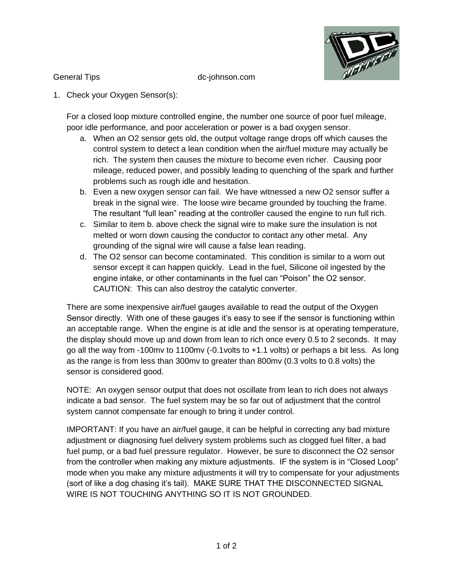

General Tips dc-johnson.com

1. Check your Oxygen Sensor(s):

For a closed loop mixture controlled engine, the number one source of poor fuel mileage, poor idle performance, and poor acceleration or power is a bad oxygen sensor.

- a. When an O2 sensor gets old, the output voltage range drops off which causes the control system to detect a lean condition when the air/fuel mixture may actually be rich. The system then causes the mixture to become even richer. Causing poor mileage, reduced power, and possibly leading to quenching of the spark and further problems such as rough idle and hesitation.
- b. Even a new oxygen sensor can fail. We have witnessed a new O2 sensor suffer a break in the signal wire. The loose wire became grounded by touching the frame. The resultant "full lean" reading at the controller caused the engine to run full rich.
- c. Similar to item b. above check the signal wire to make sure the insulation is not melted or worn down causing the conductor to contact any other metal. Any grounding of the signal wire will cause a false lean reading.
- d. The O2 sensor can become contaminated. This condition is similar to a worn out sensor except it can happen quickly. Lead in the fuel, Silicone oil ingested by the engine intake, or other contaminants in the fuel can "Poison" the O2 sensor. CAUTION: This can also destroy the catalytic converter.

There are some inexpensive air/fuel gauges available to read the output of the Oxygen Sensor directly. With one of these gauges it's easy to see if the sensor is functioning within an acceptable range. When the engine is at idle and the sensor is at operating temperature, the display should move up and down from lean to rich once every 0.5 to 2 seconds. It may go all the way from -100mv to 1100mv (-0.1volts to +1.1 volts) or perhaps a bit less. As long as the range is from less than 300mv to greater than 800mv (0.3 volts to 0.8 volts) the sensor is considered good.

NOTE: An oxygen sensor output that does not oscillate from lean to rich does not always indicate a bad sensor. The fuel system may be so far out of adjustment that the control system cannot compensate far enough to bring it under control.

IMPORTANT: If you have an air/fuel gauge, it can be helpful in correcting any bad mixture adjustment or diagnosing fuel delivery system problems such as clogged fuel filter, a bad fuel pump, or a bad fuel pressure regulator. However, be sure to disconnect the O2 sensor from the controller when making any mixture adjustments. IF the system is in "Closed Loop" mode when you make any mixture adjustments it will try to compensate for your adjustments (sort of like a dog chasing it's tail). MAKE SURE THAT THE DISCONNECTED SIGNAL WIRE IS NOT TOUCHING ANYTHING SO IT IS NOT GROUNDED.